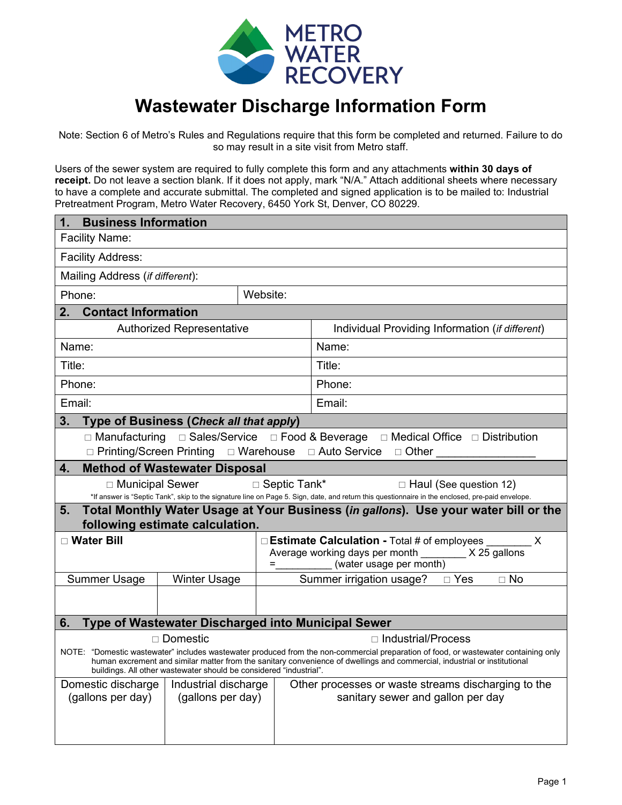

# **Wastewater Discharge Information Form**

Note: Section 6 of Metro's Rules and Regulations require that this form be completed and returned. Failure to do so may result in a site visit from Metro staff.

Users of the sewer system are required to fully complete this form and any attachments **within 30 days of receipt.** Do not leave a section blank. If it does not apply, mark "N/A." Attach additional sheets where necessary to have a complete and accurate submittal. The completed and signed application is to be mailed to: Industrial Pretreatment Program, Metro Water Recovery, 6450 York St, Denver, CO 80229.

| <b>Business Information</b><br>1.                                                                                                                                                                                                                                |                                         |                                                     |                                                                                                                                                                                                                                         |  |
|------------------------------------------------------------------------------------------------------------------------------------------------------------------------------------------------------------------------------------------------------------------|-----------------------------------------|-----------------------------------------------------|-----------------------------------------------------------------------------------------------------------------------------------------------------------------------------------------------------------------------------------------|--|
| Facility Name:                                                                                                                                                                                                                                                   |                                         |                                                     |                                                                                                                                                                                                                                         |  |
| <b>Facility Address:</b>                                                                                                                                                                                                                                         |                                         |                                                     |                                                                                                                                                                                                                                         |  |
| Mailing Address (if different):                                                                                                                                                                                                                                  |                                         |                                                     |                                                                                                                                                                                                                                         |  |
| Phone:                                                                                                                                                                                                                                                           |                                         | Website:                                            |                                                                                                                                                                                                                                         |  |
| 2.<br><b>Contact Information</b>                                                                                                                                                                                                                                 |                                         |                                                     |                                                                                                                                                                                                                                         |  |
|                                                                                                                                                                                                                                                                  | <b>Authorized Representative</b>        |                                                     | Individual Providing Information (if different)                                                                                                                                                                                         |  |
| Name:                                                                                                                                                                                                                                                            |                                         |                                                     | Name:                                                                                                                                                                                                                                   |  |
| Title:                                                                                                                                                                                                                                                           |                                         |                                                     | Title:                                                                                                                                                                                                                                  |  |
| Phone:                                                                                                                                                                                                                                                           |                                         |                                                     | Phone:                                                                                                                                                                                                                                  |  |
| Email:                                                                                                                                                                                                                                                           |                                         |                                                     | Email:                                                                                                                                                                                                                                  |  |
| 3.                                                                                                                                                                                                                                                               | Type of Business (Check all that apply) |                                                     |                                                                                                                                                                                                                                         |  |
|                                                                                                                                                                                                                                                                  |                                         |                                                     | □ Manufacturing □ Sales/Service □ Food & Beverage □ Medical Office □ Distribution                                                                                                                                                       |  |
|                                                                                                                                                                                                                                                                  |                                         |                                                     | □ Printing/Screen Printing □ Warehouse □ Auto Service □ Other                                                                                                                                                                           |  |
| 4.                                                                                                                                                                                                                                                               | <b>Method of Wastewater Disposal</b>    |                                                     |                                                                                                                                                                                                                                         |  |
| □ Municipal Sewer                                                                                                                                                                                                                                                |                                         | □ Septic Tank*                                      | $\Box$ Haul (See question 12)                                                                                                                                                                                                           |  |
| 5.                                                                                                                                                                                                                                                               |                                         |                                                     | *If answer is "Septic Tank", skip to the signature line on Page 5. Sign, date, and return this questionnaire in the enclosed, pre-paid envelope.<br>Total Monthly Water Usage at Your Business (in gallons). Use your water bill or the |  |
|                                                                                                                                                                                                                                                                  | following estimate calculation.         |                                                     |                                                                                                                                                                                                                                         |  |
| □ Water Bill                                                                                                                                                                                                                                                     |                                         |                                                     | $\Box$ Estimate Calculation - Total # of employees<br>X                                                                                                                                                                                 |  |
|                                                                                                                                                                                                                                                                  |                                         |                                                     | Average working days per month _________ X 25 gallons                                                                                                                                                                                   |  |
|                                                                                                                                                                                                                                                                  |                                         | $=$                                                 | (water usage per month)                                                                                                                                                                                                                 |  |
| <b>Summer Usage</b>                                                                                                                                                                                                                                              | <b>Winter Usage</b>                     |                                                     | $\Box$ No                                                                                                                                                                                                                               |  |
|                                                                                                                                                                                                                                                                  |                                         |                                                     |                                                                                                                                                                                                                                         |  |
| Type of Wastewater Discharged into Municipal Sewer<br>6.                                                                                                                                                                                                         |                                         |                                                     |                                                                                                                                                                                                                                         |  |
| $\Box$ Domestic<br>$\Box$ Industrial/Process                                                                                                                                                                                                                     |                                         |                                                     |                                                                                                                                                                                                                                         |  |
| NOTE: "Domestic wastewater" includes wastewater produced from the non-commercial preparation of food, or wastewater containing only<br>human excrement and similar matter from the sanitary convenience of dwellings and commercial, industrial or institutional |                                         |                                                     |                                                                                                                                                                                                                                         |  |
| buildings. All other wastewater should be considered "industrial".                                                                                                                                                                                               |                                         |                                                     |                                                                                                                                                                                                                                         |  |
| Domestic discharge                                                                                                                                                                                                                                               | Industrial discharge                    | Other processes or waste streams discharging to the |                                                                                                                                                                                                                                         |  |
| (gallons per day)                                                                                                                                                                                                                                                | (gallons per day)                       |                                                     | sanitary sewer and gallon per day                                                                                                                                                                                                       |  |
|                                                                                                                                                                                                                                                                  |                                         |                                                     |                                                                                                                                                                                                                                         |  |
|                                                                                                                                                                                                                                                                  |                                         |                                                     |                                                                                                                                                                                                                                         |  |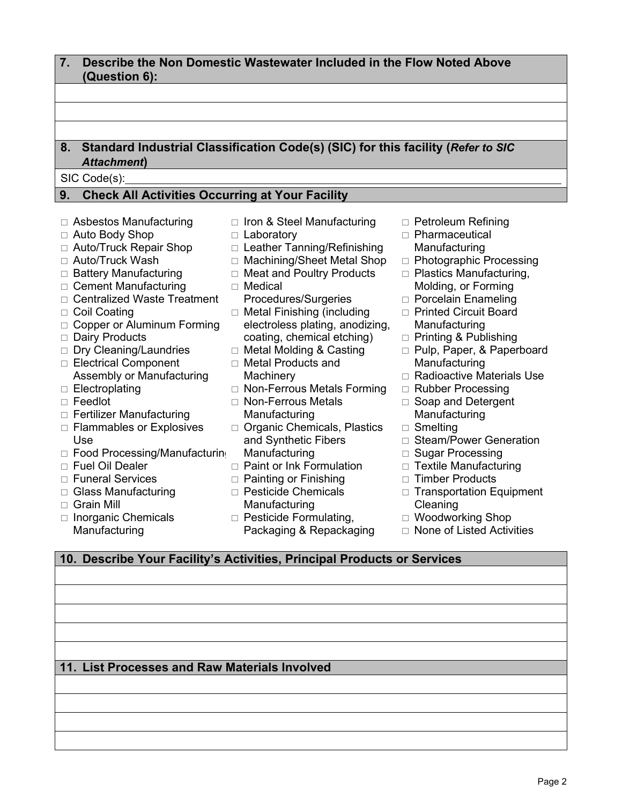#### **7. Describe the Non Domestic Wastewater Included in the Flow Noted Above (Question 6): 8. Standard Industrial Classification Code(s) (SIC) for this facility (***Refer to SIC Attachment***)**  SIC Code(s): **9. Check All Activities Occurring at Your Facility** □ Asbestos Manufacturing □ Auto Body Shop □ Auto/Truck Repair Shop  $\Box$  Auto/Truck Wash □ Battery Manufacturing □ Cement Manufacturing □ Centralized Waste Treatment □ Coil Coating □ Copper or Aluminum Forming □ Dairy Products  $\Box$  Dry Cleaning/Laundries □ Electrical Component  $\Box$  Iron & Steel Manufacturing □ Laboratory □ Leather Tanning/Refinishing □ Machining/Sheet Metal Shop □ Meat and Poultry Products  $\Box$  Medical Procedures/Surgeries □ Metal Finishing (including electroless plating, anodizing, coating, chemical etching) □ Metal Molding & Casting Metal Products and □ Petroleum Refining Pharmaceutical **Manufacturing** □ Photographic Processing □ Plastics Manufacturing, Molding, or Forming □ Porcelain Enameling □ Printed Circuit Board Manufacturing □ Printing & Publishing □ Pulp, Paper, & Paperboard Manufacturing

- $\Box$  Radioactive Materials Use
- □ Rubber Processing
- □ Soap and Detergent **Manufacturing**
- Smelting
- □ Steam/Power Generation
- □ Sugar Processing
- $\Box$  Textile Manufacturing
- $\Box$  Timber Products
- $\Box$  Transportation Equipment Cleaning
- □ Woodworking Shop
- $\Box$  None of Listed Activities

## **10. Describe Your Facility's Activities, Principal Products or Services**

## **11. List Processes and Raw Materials Involved**

Page 2

- **Machinery**
- □ Non-Ferrous Metals Forming
- □ Non-Ferrous Metals Manufacturing
- □ Organic Chemicals, Plastics and Synthetic Fibers **Manufacturing**
- $\Box$  Paint or Ink Formulation
- $\Box$  Painting or Finishing
- □ Pesticide Chemicals **Manufacturing**
- $\Box$  Pesticide Formulating, Packaging & Repackaging
- □ Grain Mill
- $\Box$  Inorganic Chemicals Manufacturing
- Assembly or Manufacturing
- $\Box$  Electroplating
- □ Feedlot
- □ Fertilizer Manufacturing
- $\Box$  Flammables or Explosives Use
- □ Food Processing/Manufacturing
- Fuel Oil Dealer
- Funeral Services
- □ Glass Manufacturing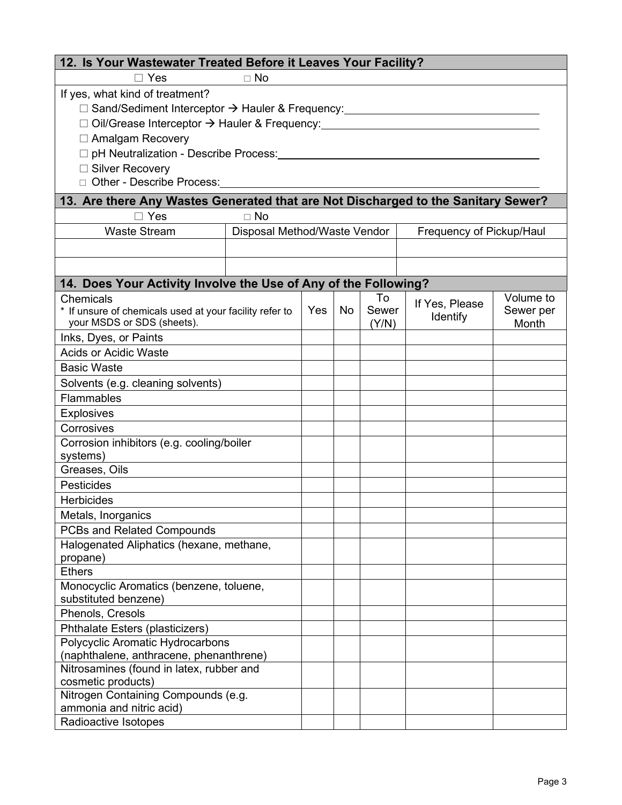| 12. Is Your Wastewater Treated Before it Leaves Your Facility?                    |                              |     |    |       |                          |           |
|-----------------------------------------------------------------------------------|------------------------------|-----|----|-------|--------------------------|-----------|
| $\Box$ Yes<br>$\Box$ No                                                           |                              |     |    |       |                          |           |
| If yes, what kind of treatment?                                                   |                              |     |    |       |                          |           |
| □ Sand/Sediment Interceptor > Hauler & Frequency:                                 |                              |     |    |       |                          |           |
| □ Oil/Grease Interceptor → Hauler & Frequency:                                    |                              |     |    |       |                          |           |
| □ Amalgam Recovery                                                                |                              |     |    |       |                          |           |
| □ pH Neutralization - Describe Process:                                           |                              |     |    |       |                          |           |
| □ Silver Recovery                                                                 |                              |     |    |       |                          |           |
| □ Other - Describe Process:                                                       |                              |     |    |       |                          |           |
|                                                                                   |                              |     |    |       |                          |           |
| 13. Are there Any Wastes Generated that are Not Discharged to the Sanitary Sewer? |                              |     |    |       |                          |           |
| $\Box$ Yes                                                                        | $\Box$ No                    |     |    |       |                          |           |
| <b>Waste Stream</b>                                                               | Disposal Method/Waste Vendor |     |    |       | Frequency of Pickup/Haul |           |
|                                                                                   |                              |     |    |       |                          |           |
|                                                                                   |                              |     |    |       |                          |           |
| 14. Does Your Activity Involve the Use of Any of the Following?                   |                              |     |    |       |                          |           |
| Chemicals                                                                         |                              |     |    | To    | If Yes, Please           | Volume to |
| * If unsure of chemicals used at your facility refer to                           |                              | Yes | No | Sewer | <b>Identify</b>          | Sewer per |
| your MSDS or SDS (sheets).                                                        |                              |     |    | (Y/N) |                          | Month     |
| Inks, Dyes, or Paints                                                             |                              |     |    |       |                          |           |
| <b>Acids or Acidic Waste</b>                                                      |                              |     |    |       |                          |           |
| <b>Basic Waste</b>                                                                |                              |     |    |       |                          |           |
| Solvents (e.g. cleaning solvents)                                                 |                              |     |    |       |                          |           |
| <b>Flammables</b>                                                                 |                              |     |    |       |                          |           |
| <b>Explosives</b>                                                                 |                              |     |    |       |                          |           |
| Corrosives                                                                        |                              |     |    |       |                          |           |
| Corrosion inhibitors (e.g. cooling/boiler                                         |                              |     |    |       |                          |           |
| systems)                                                                          |                              |     |    |       |                          |           |
| Greases, Oils                                                                     |                              |     |    |       |                          |           |
| <b>Pesticides</b>                                                                 |                              |     |    |       |                          |           |
| <b>Herbicides</b>                                                                 |                              |     |    |       |                          |           |
| Metals, Inorganics                                                                |                              |     |    |       |                          |           |
| PCBs and Related Compounds                                                        |                              |     |    |       |                          |           |
| Halogenated Aliphatics (hexane, methane,                                          |                              |     |    |       |                          |           |
| propane)                                                                          |                              |     |    |       |                          |           |
| <b>Ethers</b>                                                                     |                              |     |    |       |                          |           |
| Monocyclic Aromatics (benzene, toluene,                                           |                              |     |    |       |                          |           |
| substituted benzene)<br>Phenols, Cresols                                          |                              |     |    |       |                          |           |
|                                                                                   |                              |     |    |       |                          |           |
| Phthalate Esters (plasticizers)<br>Polycyclic Aromatic Hydrocarbons               |                              |     |    |       |                          |           |
| (naphthalene, anthracene, phenanthrene)                                           |                              |     |    |       |                          |           |
| Nitrosamines (found in latex, rubber and                                          |                              |     |    |       |                          |           |
| cosmetic products)                                                                |                              |     |    |       |                          |           |
| Nitrogen Containing Compounds (e.g.                                               |                              |     |    |       |                          |           |
| ammonia and nitric acid)                                                          |                              |     |    |       |                          |           |
| Radioactive Isotopes                                                              |                              |     |    |       |                          |           |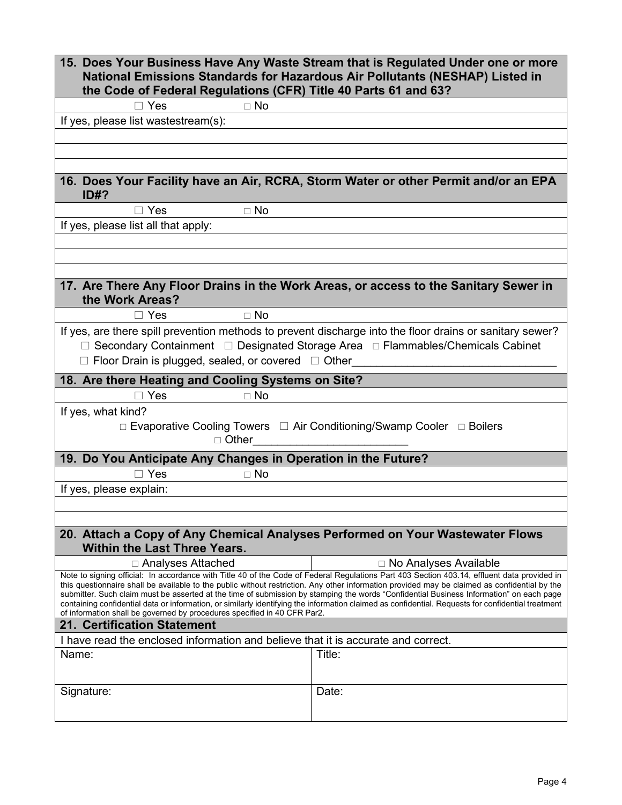| 15. Does Your Business Have Any Waste Stream that is Regulated Under one or more<br>National Emissions Standards for Hazardous Air Pollutants (NESHAP) Listed in<br>the Code of Federal Regulations (CFR) Title 40 Parts 61 and 63? |                                                                                                                                                                                                                                                                                                                                                                                                                                                                                                                                                                                               |  |
|-------------------------------------------------------------------------------------------------------------------------------------------------------------------------------------------------------------------------------------|-----------------------------------------------------------------------------------------------------------------------------------------------------------------------------------------------------------------------------------------------------------------------------------------------------------------------------------------------------------------------------------------------------------------------------------------------------------------------------------------------------------------------------------------------------------------------------------------------|--|
| $\Box$ Yes<br>$\Box$ No                                                                                                                                                                                                             |                                                                                                                                                                                                                                                                                                                                                                                                                                                                                                                                                                                               |  |
| If yes, please list wastestream(s):                                                                                                                                                                                                 |                                                                                                                                                                                                                                                                                                                                                                                                                                                                                                                                                                                               |  |
|                                                                                                                                                                                                                                     |                                                                                                                                                                                                                                                                                                                                                                                                                                                                                                                                                                                               |  |
|                                                                                                                                                                                                                                     |                                                                                                                                                                                                                                                                                                                                                                                                                                                                                                                                                                                               |  |
|                                                                                                                                                                                                                                     |                                                                                                                                                                                                                                                                                                                                                                                                                                                                                                                                                                                               |  |
| 16. Does Your Facility have an Air, RCRA, Storm Water or other Permit and/or an EPA<br>ID#?                                                                                                                                         |                                                                                                                                                                                                                                                                                                                                                                                                                                                                                                                                                                                               |  |
| $\Box$ Yes<br>$\Box$ No                                                                                                                                                                                                             |                                                                                                                                                                                                                                                                                                                                                                                                                                                                                                                                                                                               |  |
| If yes, please list all that apply:                                                                                                                                                                                                 |                                                                                                                                                                                                                                                                                                                                                                                                                                                                                                                                                                                               |  |
|                                                                                                                                                                                                                                     |                                                                                                                                                                                                                                                                                                                                                                                                                                                                                                                                                                                               |  |
|                                                                                                                                                                                                                                     |                                                                                                                                                                                                                                                                                                                                                                                                                                                                                                                                                                                               |  |
|                                                                                                                                                                                                                                     |                                                                                                                                                                                                                                                                                                                                                                                                                                                                                                                                                                                               |  |
| 17. Are There Any Floor Drains in the Work Areas, or access to the Sanitary Sewer in<br>the Work Areas?                                                                                                                             |                                                                                                                                                                                                                                                                                                                                                                                                                                                                                                                                                                                               |  |
| $\Box$ No<br>$\Box$ Yes                                                                                                                                                                                                             |                                                                                                                                                                                                                                                                                                                                                                                                                                                                                                                                                                                               |  |
| If yes, are there spill prevention methods to prevent discharge into the floor drains or sanitary sewer?<br>$\Box$ Floor Drain is plugged, sealed, or covered $\Box$ Other                                                          | □ Secondary Containment □ Designated Storage Area □ Flammables/Chemicals Cabinet                                                                                                                                                                                                                                                                                                                                                                                                                                                                                                              |  |
| 18. Are there Heating and Cooling Systems on Site?                                                                                                                                                                                  |                                                                                                                                                                                                                                                                                                                                                                                                                                                                                                                                                                                               |  |
| $\Box$ Yes<br>$\Box$ No                                                                                                                                                                                                             |                                                                                                                                                                                                                                                                                                                                                                                                                                                                                                                                                                                               |  |
| If yes, what kind?                                                                                                                                                                                                                  |                                                                                                                                                                                                                                                                                                                                                                                                                                                                                                                                                                                               |  |
| $\Box$ Other                                                                                                                                                                                                                        | □ Evaporative Cooling Towers □ Air Conditioning/Swamp Cooler □ Boilers                                                                                                                                                                                                                                                                                                                                                                                                                                                                                                                        |  |
| 19. Do You Anticipate Any Changes in Operation in the Future?                                                                                                                                                                       |                                                                                                                                                                                                                                                                                                                                                                                                                                                                                                                                                                                               |  |
| $\Box$ Yes<br>$\Box$ No                                                                                                                                                                                                             |                                                                                                                                                                                                                                                                                                                                                                                                                                                                                                                                                                                               |  |
| If yes, please explain:                                                                                                                                                                                                             |                                                                                                                                                                                                                                                                                                                                                                                                                                                                                                                                                                                               |  |
|                                                                                                                                                                                                                                     |                                                                                                                                                                                                                                                                                                                                                                                                                                                                                                                                                                                               |  |
|                                                                                                                                                                                                                                     |                                                                                                                                                                                                                                                                                                                                                                                                                                                                                                                                                                                               |  |
| 20. Attach a Copy of Any Chemical Analyses Performed on Your Wastewater Flows<br><b>Within the Last Three Years.</b>                                                                                                                |                                                                                                                                                                                                                                                                                                                                                                                                                                                                                                                                                                                               |  |
| □ Analyses Attached                                                                                                                                                                                                                 | □ No Analyses Available                                                                                                                                                                                                                                                                                                                                                                                                                                                                                                                                                                       |  |
| of information shall be governed by procedures specified in 40 CFR Par2.                                                                                                                                                            | Note to signing official: In accordance with Title 40 of the Code of Federal Regulations Part 403 Section 403.14, effluent data provided in<br>this questionnaire shall be available to the public without restriction. Any other information provided may be claimed as confidential by the<br>submitter. Such claim must be asserted at the time of submission by stamping the words "Confidential Business Information" on each page<br>containing confidential data or information, or similarly identifying the information claimed as confidential. Requests for confidential treatment |  |
| <b>21. Certification Statement</b>                                                                                                                                                                                                  |                                                                                                                                                                                                                                                                                                                                                                                                                                                                                                                                                                                               |  |
| I have read the enclosed information and believe that it is accurate and correct.                                                                                                                                                   |                                                                                                                                                                                                                                                                                                                                                                                                                                                                                                                                                                                               |  |
| Name:                                                                                                                                                                                                                               | Title:                                                                                                                                                                                                                                                                                                                                                                                                                                                                                                                                                                                        |  |
|                                                                                                                                                                                                                                     |                                                                                                                                                                                                                                                                                                                                                                                                                                                                                                                                                                                               |  |
|                                                                                                                                                                                                                                     |                                                                                                                                                                                                                                                                                                                                                                                                                                                                                                                                                                                               |  |
| Signature:                                                                                                                                                                                                                          | Date:                                                                                                                                                                                                                                                                                                                                                                                                                                                                                                                                                                                         |  |
|                                                                                                                                                                                                                                     |                                                                                                                                                                                                                                                                                                                                                                                                                                                                                                                                                                                               |  |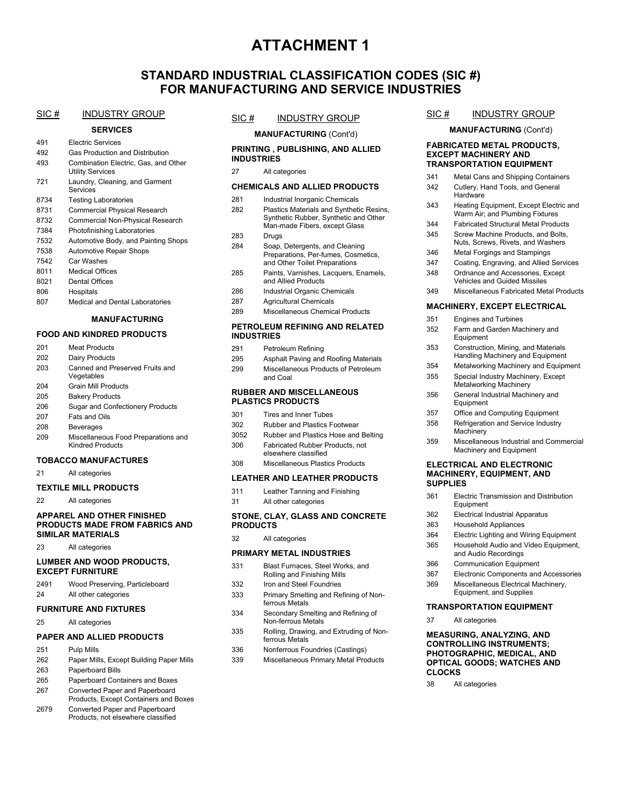## **ATTACHMENT 1**

### **STANDARD INDUSTRIAL CLASSIFICATION CODES (SIC #) FOR MANUFACTURING AND SERVICE INDUSTRIES**

#### SIC # INDUSTRY GROUP

#### **SERVICES**

|      | acrvicca                                                        |
|------|-----------------------------------------------------------------|
| 491  | <b>Electric Services</b>                                        |
| 492  | Gas Production and Distribution                                 |
| 493  | Combination Electric, Gas, and Other<br><b>Utility Services</b> |
| 721  | Laundry, Cleaning, and Garment<br>Services                      |
| 8734 | <b>Testing Laboratories</b>                                     |
| 8731 | <b>Commercial Physical Research</b>                             |
| 8732 | Commercial Non-Physical Research                                |
| 7384 | Photofinishing Laboratories                                     |
| 7532 | Automotive Body, and Painting Shops                             |
| 7538 | <b>Automotive Repair Shops</b>                                  |
| 7542 | Car Washes                                                      |
| 8011 | <b>Medical Offices</b>                                          |
| 8021 | Dental Offices                                                  |
| 806  | Hospitals                                                       |

807 Medical and Dental Laboratories

#### **MANUFACTURING**

#### **FOOD AND KINDRED PRODUCTS**

| 201 | Meat Products                                           |
|-----|---------------------------------------------------------|
| 202 | Dairy Products                                          |
| 203 | Canned and Preserved Fruits and<br>Vegetables           |
| 204 | <b>Grain Mill Products</b>                              |
| 205 | <b>Bakery Products</b>                                  |
| 206 | <b>Sugar and Confectionery Products</b>                 |
| 207 | Fats and Oils                                           |
| 208 | Beverages                                               |
| 209 | Miscellaneous Food Preparations and<br>Kindred Products |
|     | .                                                       |

#### **TOBACCO MANUFACTURES**

21 All categories

#### **TEXTILE MILL PRODUCTS**

22 All categories

#### **APPAREL AND OTHER FINISHED PRODUCTS MADE FROM FABRICS AND SIMILAR MATERIALS**

23 All categories

#### **LUMBER AND WOOD PRODUCTS, EXCEPT FURNITURE**

| 2491 | Wood Preserving, Particleboard |
|------|--------------------------------|
| 24   | All other categories           |

#### **FURNITURE AND FIXTURES**

25 All categories

#### **PAPER AND ALLIED PRODUCTS**

- 251 Pulp Mills
- 262 Paper Mills, Except Building Paper Mills
- 263 Paperboard Bills
- 265 Paperboard Containers and Boxes
- 267 Converted Paper and Paperboard Products, Except Containers and Boxes
- 2679 Converted Paper and Paperboard Products, not elsewhere classified

#### SIC # INDUSTRY GROUP

**MANUFACTURING** (Cont'd)

#### **PRINTING , PUBLISHING, AND ALLIED INDUSTRIES**

27 All categories

#### **CHEMICALS AND ALLIED PRODUCTS**

| 281 | Industrial Inorganic Chemicals                                                                                     |
|-----|--------------------------------------------------------------------------------------------------------------------|
| 282 | Plastics Materials and Synthetic Resins,<br>Synthetic Rubber, Synthetic and Other<br>Man-made Fibers, except Glass |
| 283 | Drugs                                                                                                              |
| 284 | Soap, Detergents, and Cleaning<br>Preparations, Per-fumes, Cosmetics,<br>and Other Toilet Preparations             |
| 285 | Paints, Varnishes, Lacquers, Enamels,<br>and Allied Products                                                       |
| 286 | Industrial Organic Chemicals                                                                                       |
| 287 | Agricultural Chemicals                                                                                             |
| 289 | Miscellaneous Chemical Products                                                                                    |

#### **PETROLEUM REFINING AND RELATED INDUSTRIES**

| 291 | Petroleum Refining                              |
|-----|-------------------------------------------------|
| 295 | Asphalt Paving and Roofing Materials            |
| 299 | Miscellaneous Products of Petroleum<br>and Coal |

#### **RUBBER AND MISCELLANEOUS PLASTICS PRODUCTS**

| 301  | Tires and Inner Tubes                                   |
|------|---------------------------------------------------------|
| 302  | <b>Rubber and Plastics Footwear</b>                     |
| 3052 | Rubber and Plastics Hose and Belting                    |
| 306  | Fabricated Rubber Products, not<br>elsewhere classified |
| 308  | Miscellaneous Plastics Products                         |

#### **LEATHER AND LEATHER PRODUCTS**

| 311 | Leather Tanning and Finishing |
|-----|-------------------------------|
| 31  | All other categories          |

#### **STONE, CLAY, GLASS AND CONCRETE PRODUCTS**

32 All categories

#### **PRIMARY METAL INDUSTRIES**

| 331 | Blast Furnaces, Steel Works, and |
|-----|----------------------------------|
|     | Rolling and Finishing Mills      |
| 332 | Iron and Steel Foundries         |

- 333 Primary Smelting and Refining of Nonferrous Metals
- 334 Secondary Smelting and Refining of Non-ferrous Metals
- 335 Rolling, Drawing, and Extruding of Nonferrous Metals
- 336 Nonferrous Foundries (Castings)
- 339 Miscellaneous Primary Metal Products

### SIC # INDUSTRY GROUP

**MANUFACTURING** (Cont'd)

#### **FABRICATED METAL PRODUCTS, EXCEPT MACHINERY AND TRANSPORTATION EQUIPMENT**

| 341 | Metal Cans and Shipping Containers                                        |
|-----|---------------------------------------------------------------------------|
| 342 | Cutlery, Hand Tools, and General<br>Hardware                              |
| 343 | Heating Equipment, Except Electric and<br>Warm Air; and Plumbing Fixtures |
| 344 | <b>Fabricated Structural Metal Products</b>                               |
| 345 | Screw Machine Products, and Bolts,<br>Nuts, Screws, Rivets, and Washers   |
| 346 | <b>Metal Forgings and Stampings</b>                                       |
| 347 | Coating, Engraving, and Allied Services                                   |
| 348 | Ordnance and Accessories, Except<br><b>Vehicles and Guided Missiles</b>   |
| 349 | Miscellaneous Fabricated Metal Products                                   |
|     | <b>MACHINERY, EXCEPT ELECTRICAL</b>                                       |
| 351 | <b>Engines and Turbines</b>                                               |
| 352 | Farm and Garden Machinery and<br>Equipment                                |
| 353 | Construction, Mining, and Materials<br>Handling Machinery and Equipment   |
| 354 | Metalworking Machinery and Equipment                                      |
| 355 | Special Industry Machinery, Except<br>Metalworking Machinery              |
| 356 | General Industrial Machinery and<br>Equipment                             |
| 357 | Office and Computing Equipment                                            |
| 358 | Refrigeration and Service Industry                                        |
|     | Machinerv                                                                 |

359 Miscellaneous Industrial and Commercial Machinery and Equipment

#### **ELECTRICAL AND ELECTRONIC MACHINERY, EQUIPMENT, AND SUPPLIES**

- 361 Electric Transmission and Distribution Equipment
- 362 Electrical Industrial Apparatus
- 363 Household Appliances
- 364 Electric Lighting and Wiring Equipment
- 365 Household Audio and Video Equipment, and Audio Recordings
- 366 Communication Equipment
- 367 Electronic Components and Accessories
- 369 Miscellaneous Electrical Machinery, Equipment, and Supplies

#### **TRANSPORTATION EQUIPMENT**

37 All categories

#### **MEASURING, ANALYZING, AND CONTROLLING INSTRUMENTS; PHOTOGRAPHIC, MEDICAL, AND OPTICAL GOODS; WATCHES AND CLOCKS**

38 All categories

- 
- -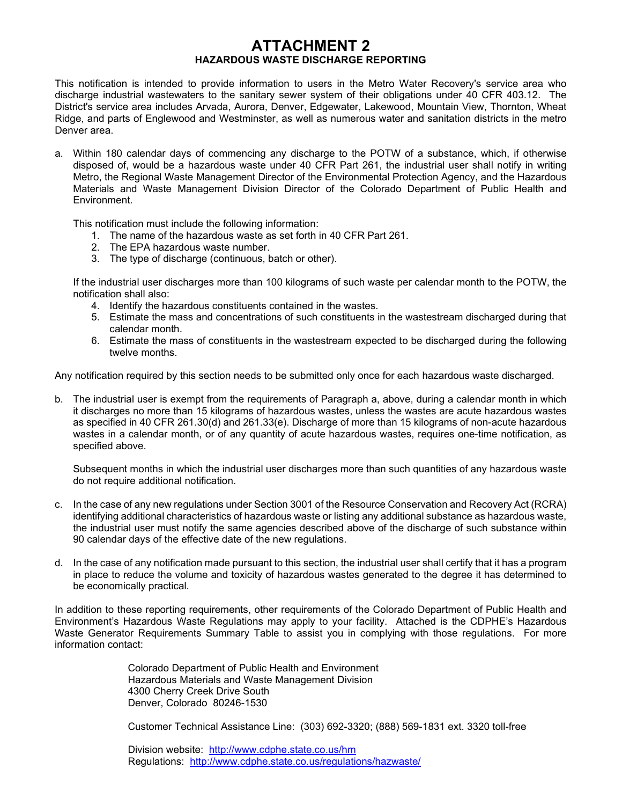## **ATTACHMENT 2 HAZARDOUS WASTE DISCHARGE REPORTING**

This notification is intended to provide information to users in the Metro Water Recovery's service area who discharge industrial wastewaters to the sanitary sewer system of their obligations under 40 CFR 403.12. The District's service area includes Arvada, Aurora, Denver, Edgewater, Lakewood, Mountain View, Thornton, Wheat Ridge, and parts of Englewood and Westminster, as well as numerous water and sanitation districts in the metro Denver area.

a. Within 180 calendar days of commencing any discharge to the POTW of a substance, which, if otherwise disposed of, would be a hazardous waste under 40 CFR Part 261, the industrial user shall notify in writing Metro, the Regional Waste Management Director of the Environmental Protection Agency, and the Hazardous Materials and Waste Management Division Director of the Colorado Department of Public Health and Environment.

This notification must include the following information:

- 1. The name of the hazardous waste as set forth in 40 CFR Part 261.
- 2. The EPA hazardous waste number.
- 3. The type of discharge (continuous, batch or other).

If the industrial user discharges more than 100 kilograms of such waste per calendar month to the POTW, the notification shall also:

- 4. Identify the hazardous constituents contained in the wastes.
- 5. Estimate the mass and concentrations of such constituents in the wastestream discharged during that calendar month.
- 6. Estimate the mass of constituents in the wastestream expected to be discharged during the following twelve months.

Any notification required by this section needs to be submitted only once for each hazardous waste discharged.

b. The industrial user is exempt from the requirements of Paragraph a, above, during a calendar month in which it discharges no more than 15 kilograms of hazardous wastes, unless the wastes are acute hazardous wastes as specified in 40 CFR 261.30(d) and 261.33(e). Discharge of more than 15 kilograms of non-acute hazardous wastes in a calendar month, or of any quantity of acute hazardous wastes, requires one-time notification, as specified above.

Subsequent months in which the industrial user discharges more than such quantities of any hazardous waste do not require additional notification.

- c. In the case of any new regulations under Section 3001 of the Resource Conservation and Recovery Act (RCRA) identifying additional characteristics of hazardous waste or listing any additional substance as hazardous waste, the industrial user must notify the same agencies described above of the discharge of such substance within 90 calendar days of the effective date of the new regulations.
- d. In the case of any notification made pursuant to this section, the industrial user shall certify that it has a program in place to reduce the volume and toxicity of hazardous wastes generated to the degree it has determined to be economically practical.

In addition to these reporting requirements, other requirements of the Colorado Department of Public Health and Environment's Hazardous Waste Regulations may apply to your facility. Attached is the CDPHE's Hazardous Waste Generator Requirements Summary Table to assist you in complying with those regulations. For more information contact:

> Colorado Department of Public Health and Environment Hazardous Materials and Waste Management Division 4300 Cherry Creek Drive South Denver, Colorado 80246-1530

Customer Technical Assistance Line: (303) 692-3320; (888) 569-1831 ext. 3320 toll-free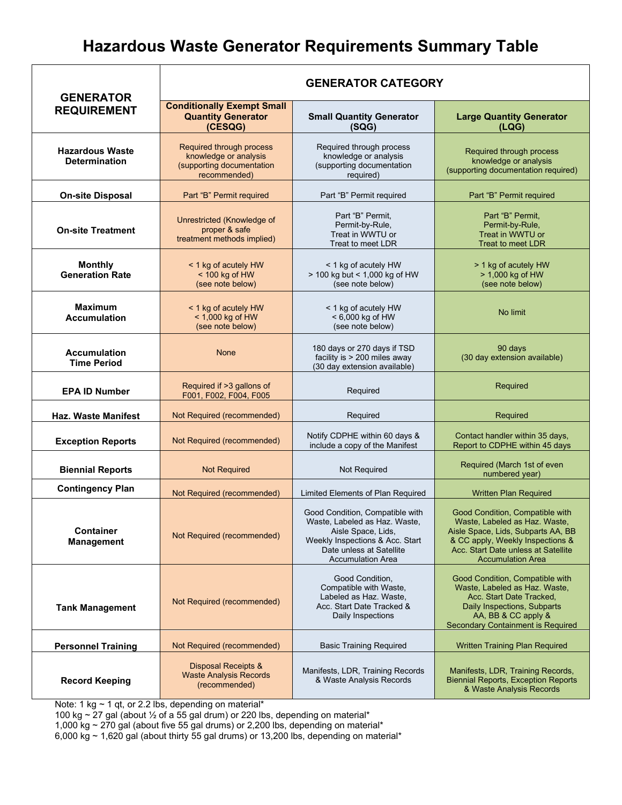# **Hazardous Waste Generator Requirements Summary Table**

| <b>GENERATOR</b><br><b>REQUIREMENT</b>         | <b>GENERATOR CATEGORY</b>                                                                      |                                                                                                                                                                                   |                                                                                                                                                                                                               |
|------------------------------------------------|------------------------------------------------------------------------------------------------|-----------------------------------------------------------------------------------------------------------------------------------------------------------------------------------|---------------------------------------------------------------------------------------------------------------------------------------------------------------------------------------------------------------|
|                                                | <b>Conditionally Exempt Small</b><br><b>Quantity Generator</b><br>(CESQG)                      | <b>Small Quantity Generator</b><br>(SQG)                                                                                                                                          | <b>Large Quantity Generator</b><br>(LQG)                                                                                                                                                                      |
| <b>Hazardous Waste</b><br><b>Determination</b> | Required through process<br>knowledge or analysis<br>(supporting documentation<br>recommended) | Required through process<br>knowledge or analysis<br>(supporting documentation<br>required)                                                                                       | Required through process<br>knowledge or analysis<br>(supporting documentation required)                                                                                                                      |
| <b>On-site Disposal</b>                        | Part "B" Permit required                                                                       | Part "B" Permit required                                                                                                                                                          | Part "B" Permit required                                                                                                                                                                                      |
| <b>On-site Treatment</b>                       | Unrestricted (Knowledge of<br>proper & safe<br>treatment methods implied)                      | Part "B" Permit,<br>Permit-by-Rule,<br>Treat in WWTU or<br>Treat to meet LDR                                                                                                      | Part "B" Permit,<br>Permit-by-Rule,<br>Treat in WWTU or<br><b>Treat to meet LDR</b>                                                                                                                           |
| <b>Monthly</b><br><b>Generation Rate</b>       | < 1 kg of acutely HW<br>$<$ 100 kg of HW<br>(see note below)                                   | < 1 kg of acutely HW<br>> 100 kg but < 1,000 kg of HW<br>(see note below)                                                                                                         | > 1 kg of acutely HW<br>> 1,000 kg of HW<br>(see note below)                                                                                                                                                  |
| <b>Maximum</b><br><b>Accumulation</b>          | < 1 kg of acutely HW<br>< 1,000 kg of HW<br>(see note below)                                   | < 1 kg of acutely HW<br>< 6,000 kg of HW<br>(see note below)                                                                                                                      | No limit                                                                                                                                                                                                      |
| <b>Accumulation</b><br><b>Time Period</b>      | <b>None</b>                                                                                    | 180 days or 270 days if TSD<br>facility is > 200 miles away<br>(30 day extension available)                                                                                       | 90 days<br>(30 day extension available)                                                                                                                                                                       |
| <b>EPA ID Number</b>                           | Required if >3 gallons of<br>F001, F002, F004, F005                                            | Required                                                                                                                                                                          | Required                                                                                                                                                                                                      |
| <b>Haz. Waste Manifest</b>                     | Not Required (recommended)                                                                     | Required                                                                                                                                                                          | Required                                                                                                                                                                                                      |
| <b>Exception Reports</b>                       | Not Required (recommended)                                                                     | Notify CDPHE within 60 days &<br>include a copy of the Manifest                                                                                                                   | Contact handler within 35 days,<br>Report to CDPHE within 45 days                                                                                                                                             |
| <b>Biennial Reports</b>                        | <b>Not Required</b>                                                                            | <b>Not Required</b>                                                                                                                                                               | Required (March 1st of even<br>numbered year)                                                                                                                                                                 |
| <b>Contingency Plan</b>                        | Not Required (recommended)                                                                     | Limited Elements of Plan Required                                                                                                                                                 | <b>Written Plan Required</b>                                                                                                                                                                                  |
| Container<br><b>Management</b>                 | Not Required (recommended)                                                                     | Good Condition, Compatible with<br>Waste, Labeled as Haz. Waste,<br>Aisle Space, Lids,<br>Weekly Inspections & Acc. Start<br>Date unless at Satellite<br><b>Accumulation Area</b> | Good Condition, Compatible with<br>Waste, Labeled as Haz. Waste,<br>Aisle Space, Lids, Subparts AA, BB<br>& CC apply, Weekly Inspections &<br>Acc. Start Date unless at Satellite<br><b>Accumulation Area</b> |
| <b>Tank Management</b>                         | Not Required (recommended)                                                                     | Good Condition,<br>Compatible with Waste,<br>Labeled as Haz. Waste,<br>Acc. Start Date Tracked &<br>Daily Inspections                                                             | Good Condition, Compatible with<br>Waste, Labeled as Haz. Waste,<br>Acc. Start Date Tracked.<br>Daily Inspections, Subparts<br>AA, BB & CC apply &<br>Secondary Containment is Required                       |
| <b>Personnel Training</b>                      | Not Required (recommended)                                                                     | <b>Basic Training Required</b>                                                                                                                                                    | <b>Written Training Plan Required</b>                                                                                                                                                                         |
| <b>Record Keeping</b>                          | Disposal Receipts &<br><b>Waste Analysis Records</b><br>(recommended)                          | Manifests, LDR, Training Records<br>& Waste Analysis Records                                                                                                                      | Manifests, LDR, Training Records,<br><b>Biennial Reports, Exception Reports</b><br>& Waste Analysis Records                                                                                                   |

Note: 1 kg ~ 1 qt, or 2.2 lbs, depending on material\*

100 kg ~ 27 gal (about ½ of a 55 gal drum) or 220 lbs, depending on material\*

1,000 kg  $\sim$  270 gal (about five 55 gal drums) or 2,200 lbs, depending on material\*

6,000 kg  $\sim$  1,620 gal (about thirty 55 gal drums) or 13,200 lbs, depending on material\*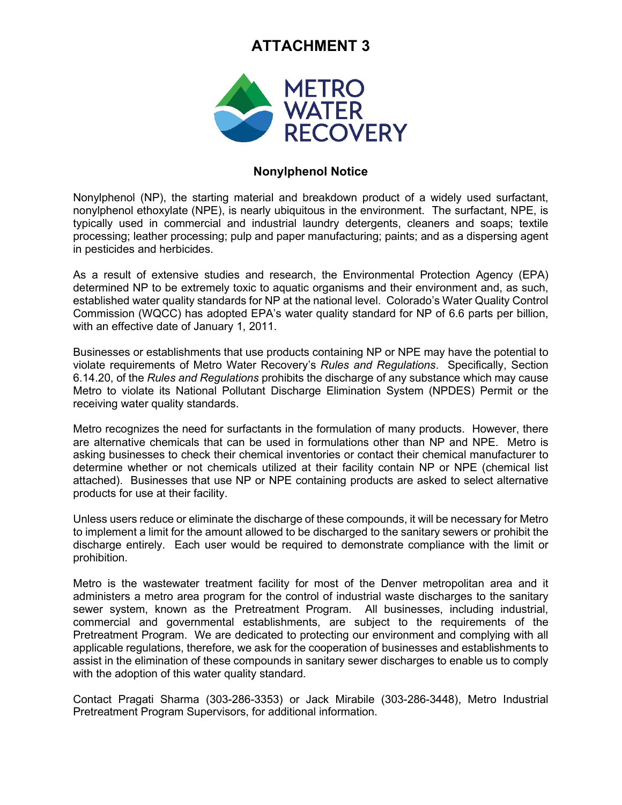## **ATTACHMENT 3**



## **Nonylphenol Notice**

Nonylphenol (NP), the starting material and breakdown product of a widely used surfactant, nonylphenol ethoxylate (NPE), is nearly ubiquitous in the environment. The surfactant, NPE, is typically used in commercial and industrial laundry detergents, cleaners and soaps; textile processing; leather processing; pulp and paper manufacturing; paints; and as a dispersing agent in pesticides and herbicides.

As a result of extensive studies and research, the Environmental Protection Agency (EPA) determined NP to be extremely toxic to aquatic organisms and their environment and, as such, established water quality standards for NP at the national level. Colorado's Water Quality Control Commission (WQCC) has adopted EPA's water quality standard for NP of 6.6 parts per billion, with an effective date of January 1, 2011.

Businesses or establishments that use products containing NP or NPE may have the potential to violate requirements of Metro Water Recovery's *Rules and Regulations*. Specifically, Section 6.14.20, of the *Rules and Regulations* prohibits the discharge of any substance which may cause Metro to violate its National Pollutant Discharge Elimination System (NPDES) Permit or the receiving water quality standards.

Metro recognizes the need for surfactants in the formulation of many products. However, there are alternative chemicals that can be used in formulations other than NP and NPE. Metro is asking businesses to check their chemical inventories or contact their chemical manufacturer to determine whether or not chemicals utilized at their facility contain NP or NPE (chemical list attached). Businesses that use NP or NPE containing products are asked to select alternative products for use at their facility.

Unless users reduce or eliminate the discharge of these compounds, it will be necessary for Metro to implement a limit for the amount allowed to be discharged to the sanitary sewers or prohibit the discharge entirely. Each user would be required to demonstrate compliance with the limit or prohibition.

Metro is the wastewater treatment facility for most of the Denver metropolitan area and it administers a metro area program for the control of industrial waste discharges to the sanitary sewer system, known as the Pretreatment Program. All businesses, including industrial, commercial and governmental establishments, are subject to the requirements of the Pretreatment Program. We are dedicated to protecting our environment and complying with all applicable regulations, therefore, we ask for the cooperation of businesses and establishments to assist in the elimination of these compounds in sanitary sewer discharges to enable us to comply with the adoption of this water quality standard.

Contact Pragati Sharma (303-286-3353) or Jack Mirabile (303-286-3448), Metro Industrial Pretreatment Program Supervisors, for additional information.